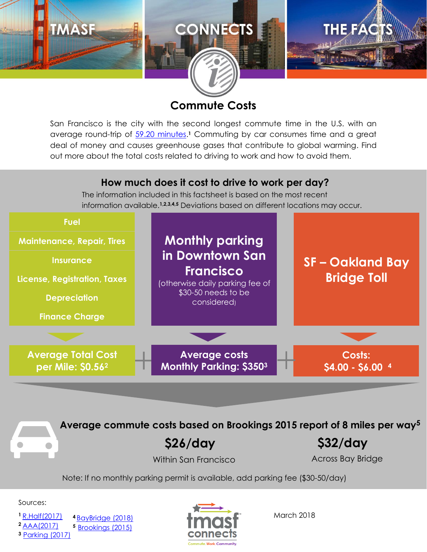

#### **Commute Costs**

San Francisco is the city with the second longest commute time in the U.S. with an average round-trip of [59.20 minutes.](http://rh-us.mediaroom.com/2017-10-23-Ahead-Of-Halloween-Robert-Half-Reveals-U-S-Cities-With-Spookiest-And-Most-Stressful-Commutes)<sup>1</sup> Commuting by car consumes time and a great deal of money and causes greenhouse gases that contribute to global warming. Find out more about the total costs related to driving to work and how to avoid them.

#### **How much does it cost to drive to work per day?**

The information included in this factsheet is based on the most recent information available.**1,2,3,4,5** Deviations based on different locations may occur.



**Average commute costs based on Brookings 2015 report of 8 miles per way<sup>5</sup>**

**\$26/day \$32/day**

Within San Francisco **Across Bay Bridge** 

Note: If no monthly parking permit is available, add parking fee (\$30-50/day)

Sources:

**<sup>1</sup>** [R.Half\(2017\)](http://rh-us.mediaroom.com/2017-10-23-Ahead-Of-Halloween-Robert-Half-Reveals-U-S-Cities-With-Spookiest-And-Most-Stressful-Commutes) **<sup>2</sup>** [AAA\(2017\)](https://exchange.aaa.com/wp-content/uploads/2017/08/17-0013_Your-Driving-Costs-Brochure-2017-FNL-CX-1.pdf)

**<sup>3</sup>** [Parking](http://monthlyparking.org/san-francisco-monthly-parking/) (2017)

**<sup>4</sup>** [BayBridge](http://baybridgeinfo.org/tolling-information) (2018) **<sup>5</sup>** [Brookings](https://www.brookings.edu/wp-content/uploads/2016/07/Srvy_JobsProximity.pdf) (2015)



March 2018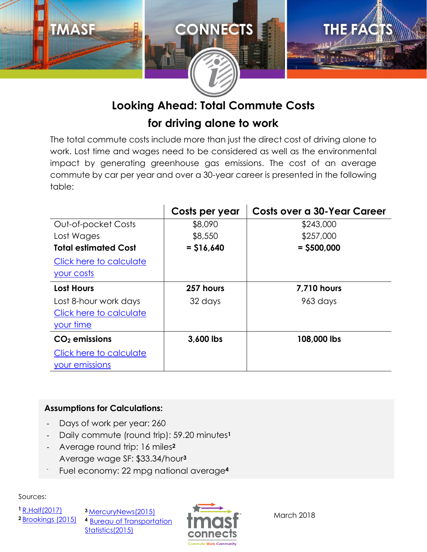

# **Looking Ahead: Total Commute Costs**

# **for driving alone to work**

The total commute costs include more than just the direct cost of driving alone to work. Lost time and wages need to be considered as well as the environmental impact by generating greenhouse gas emissions. The cost of an average commute by car per year and over a 30-year career is presented in the following table:

|                             | Costs per year | Costs over a 30-Year Career |
|-----------------------------|----------------|-----------------------------|
| Out-of-pocket Costs         | \$8,090        | \$243,000                   |
| Lost Wages                  | \$8,550        | \$257,000                   |
| <b>Total estimated Cost</b> | $=$ \$16,640   | $=$ \$500,000               |
| Click here to calculate     |                |                             |
| your costs                  |                |                             |
| <b>Lost Hours</b>           | 257 hours      | <b>7,710 hours</b>          |
| Lost 8-hour work days       | 32 days        | 963 days                    |
| Click here to calculate     |                |                             |
| your time                   |                |                             |
| $CO2$ emissions             | 3,600 lbs      | 108,000 lbs                 |
| Click here to calculate     |                |                             |
| your emissions              |                |                             |

#### **Assumptions for Calculations:**

- Days of work per year: 260
- Daily commute (round trip): 59.20 minutes**<sup>1</sup>**
- Average round trip: 16 miles**<sup>2</sup>**
- Average wage SF: \$33.34/hour**<sup>3</sup>**
- Fuel economy: 22 mpg national average**<sup>4</sup>**

Sources:

**<sup>1</sup>** [R.Half\(2017\)](http://rh-us.mediaroom.com/2017-10-23-Ahead-Of-Halloween-Robert-Half-Reveals-U-S-Cities-With-Spookiest-And-Most-Stressful-Commutes) **<sup>2</sup>** [Brookings \(2015\)](https://www.brookings.edu/wp-content/uploads/2016/07/Srvy_JobsProximity.pdf)

**<sup>3</sup>** [MercuryNews\(2015\)](https://www.mercurynews.com/2015/06/23/wages-in-bay-area-outstrip-national-average/) **<sup>4</sup>** [Bureau of Transportation](https://www.rita.dot.gov/bts/sites/rita.dot.gov.bts/files/publications/national_transportation_statistics/html/table_04_23.html)  [Statistics\(2015\)](https://www.rita.dot.gov/bts/sites/rita.dot.gov.bts/files/publications/national_transportation_statistics/html/table_04_23.html)



March 2018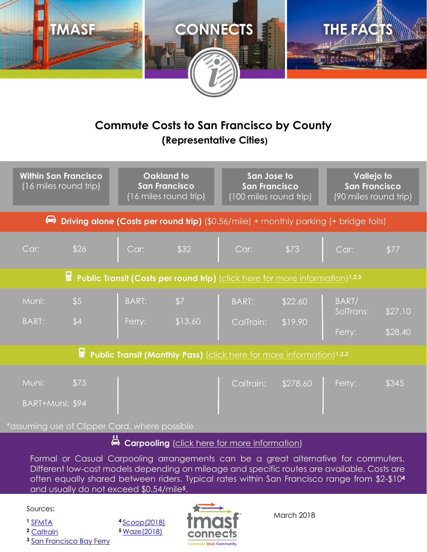

# **Commute Costs to San Francisco by County (Representative Cities)**

|                                                                                                   | Oakland to<br><b>Within San Francisco</b><br>(16 miles round trip)<br><b>San Francisco</b><br>(16 miles round trip) |                        | San Jose to<br><b>San Francisco</b><br>(100 miles round trip) |                           | <b>Vallejo to</b><br><b>San Francisco</b><br>(90 miles round trip) |                              |                    |  |  |
|---------------------------------------------------------------------------------------------------|---------------------------------------------------------------------------------------------------------------------|------------------------|---------------------------------------------------------------|---------------------------|--------------------------------------------------------------------|------------------------------|--------------------|--|--|
| ⇔<br><b>Driving alone (Costs per round trip)</b> (\$0.56/mile) + monthly parking (+ bridge tolls) |                                                                                                                     |                        |                                                               |                           |                                                                    |                              |                    |  |  |
| Car:                                                                                              | \$26                                                                                                                | Car:                   | \$32                                                          | Car:                      | \$73                                                               | Car:                         | \$77               |  |  |
| Public Transit (Costs per round trip) (click here for more information) <sup>1,2,3</sup><br>屬     |                                                                                                                     |                        |                                                               |                           |                                                                    |                              |                    |  |  |
| Muni:<br><b>BART:</b>                                                                             | \$5<br>\$4                                                                                                          | <b>BART:</b><br>Ferry: | \$7<br>\$13.60                                                | <b>BART:</b><br>CalTrain: | \$22.60<br>\$19.90                                                 | BART/<br>SolTrans:<br>Ferry: | \$27.10<br>\$28.40 |  |  |
| Public Transit (Monthly Pass) (click here for more information) <sup>1,2,3</sup>                  |                                                                                                                     |                        |                                                               |                           |                                                                    |                              |                    |  |  |
| Muni:<br>BART+Muni: \$94                                                                          | \$75                                                                                                                |                        |                                                               | Caltrain:                 | \$278.60                                                           | Ferry:                       | \$345              |  |  |

assuming use of Clipper Card, where possible

**<sup>4</sup>** [Scoop\(2018\)](https://takescoop.zendesk.com/hc/en-us/articles/206653567-What-is-the-driver-reimbursement-amount-and-rider-cost-) **<sup>5</sup>** [Waze\(2018\)](https://www.waze.com/carpool/faq)

# **Carpooling** [\(click here for more information\)](https://www.tmasfconnects.org/commute/getting-around/#j)

**108,000 lbs** Formal or Casual Carpooling arrangements can be a great alternative for commuters. Different low-cost models depending on mileage and specific routes are available. Costs are often equally shared between riders. Typical rates within San Francisco range from \$2-\$10**<sup>4</sup>** and usually do not exceed \$0.54/mile**5**.

Sources:

**<sup>1</sup>** [SFMTA](https://www.sfmta.com/getting-around/muni/fares)

**<sup>2</sup>** [Caltrain](http://www.caltrain.com/Fares/farechart.html)

**<sup>3</sup>** [San Francisco Bay Ferry](http://sanfranciscobayferry.com/fares-and-tickets)



March 2018